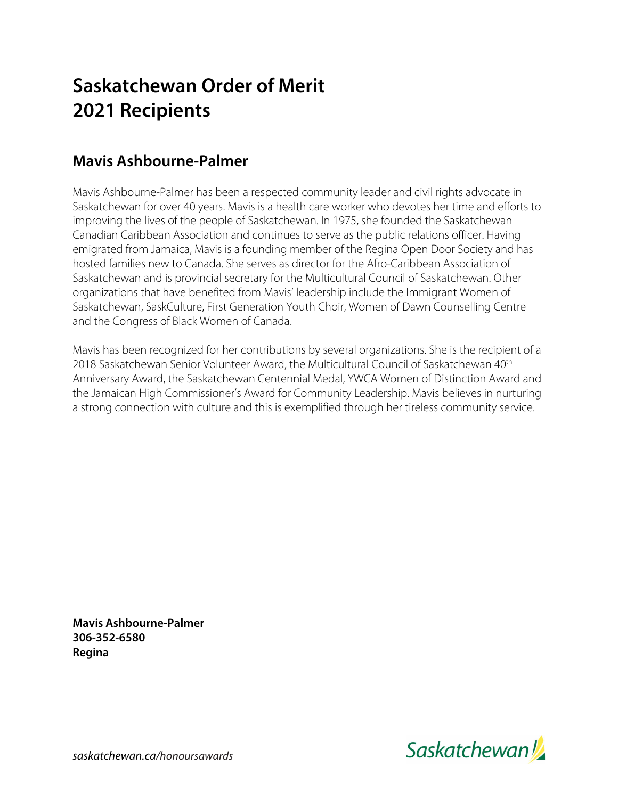#### **Mavis Ashbourne-Palmer**

Mavis Ashbourne-Palmer has been a respected community leader and civil rights advocate in Saskatchewan for over 40 years. Mavis is a health care worker who devotes her time and efforts to improving the lives of the people of Saskatchewan. In 1975, she founded the Saskatchewan Canadian Caribbean Association and continues to serve as the public relations officer. Having emigrated from Jamaica, Mavis is a founding member of the Regina Open Door Society and has hosted families new to Canada. She serves as director for the Afro-Caribbean Association of Saskatchewan and is provincial secretary for the Multicultural Council of Saskatchewan. Other organizations that have benefited from Mavis' leadership include the Immigrant Women of Saskatchewan, SaskCulture, First Generation Youth Choir, Women of Dawn Counselling Centre and the Congress of Black Women of Canada.

Mavis has been recognized for her contributions by several organizations. She is the recipient of a 2018 Saskatchewan Senior Volunteer Award, the Multicultural Council of Saskatchewan 40<sup>th</sup> Anniversary Award, the Saskatchewan Centennial Medal, YWCA Women of Distinction Award and the Jamaican High Commissioner's Award for Community Leadership. Mavis believes in nurturing a strong connection with culture and this is exemplified through her tireless community service.

**Mavis Ashbourne-Palmer 306-352-6580 Regina**

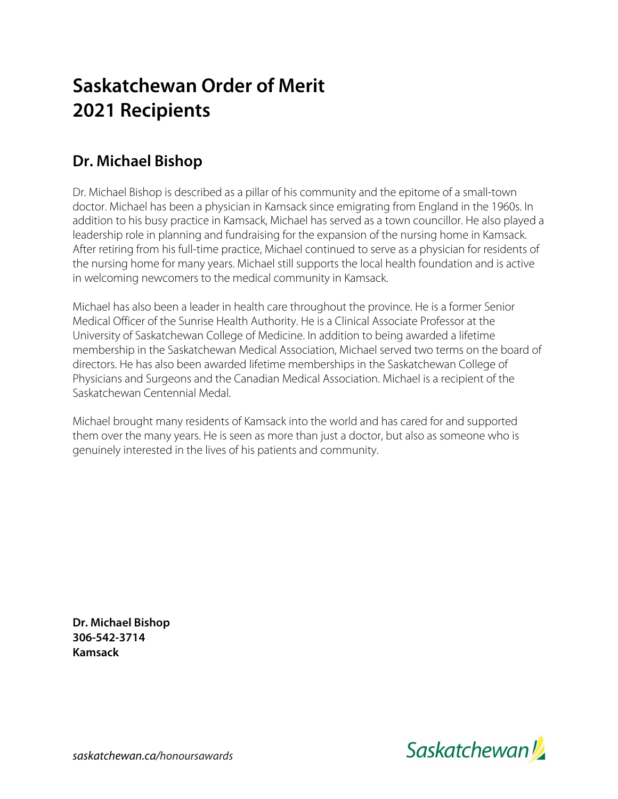#### **Dr. Michael Bishop**

Dr. Michael Bishop is described as a pillar of his community and the epitome of a small-town doctor. Michael has been a physician in Kamsack since emigrating from England in the 1960s. In addition to his busy practice in Kamsack, Michael has served as a town councillor. He also played a leadership role in planning and fundraising for the expansion of the nursing home in Kamsack. After retiring from his full-time practice, Michael continued to serve as a physician for residents of the nursing home for many years. Michael still supports the local health foundation and is active in welcoming newcomers to the medical community in Kamsack.

Michael has also been a leader in health care throughout the province. He is a former Senior Medical Officer of the Sunrise Health Authority. He is a Clinical Associate Professor at the University of Saskatchewan College of Medicine. In addition to being awarded a lifetime membership in the Saskatchewan Medical Association, Michael served two terms on the board of directors. He has also been awarded lifetime memberships in the Saskatchewan College of Physicians and Surgeons and the Canadian Medical Association. Michael is a recipient of the Saskatchewan Centennial Medal.

Michael brought many residents of Kamsack into the world and has cared for and supported them over the many years. He is seen as more than just a doctor, but also as someone who is genuinely interested in the lives of his patients and community.

**Dr. Michael Bishop 306-542-3714 Kamsack**

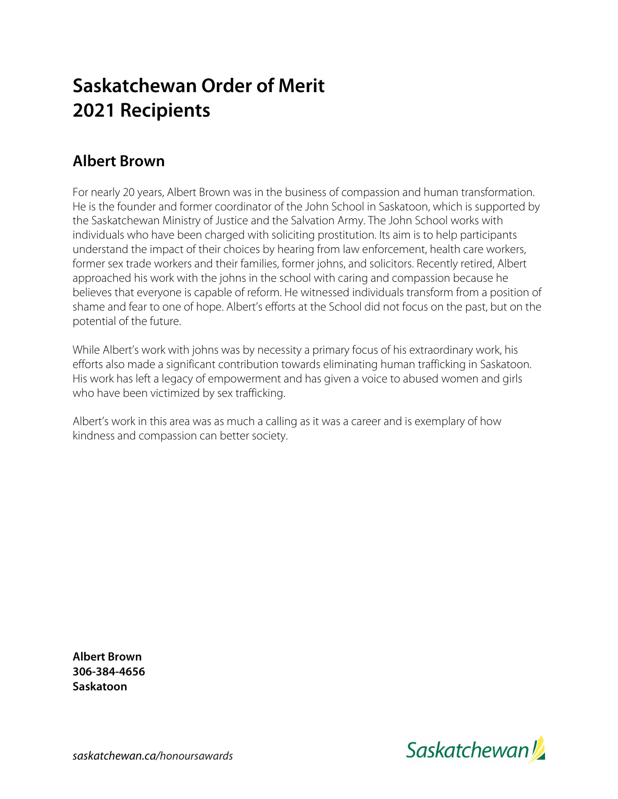#### **Albert Brown**

For nearly 20 years, Albert Brown was in the business of compassion and human transformation. He is the founder and former coordinator of the John School in Saskatoon, which is supported by the Saskatchewan Ministry of Justice and the Salvation Army. The John School works with individuals who have been charged with soliciting prostitution. Its aim is to help participants understand the impact of their choices by hearing from law enforcement, health care workers, former sex trade workers and their families, former johns, and solicitors. Recently retired, Albert approached his work with the johns in the school with caring and compassion because he believes that everyone is capable of reform. He witnessed individuals transform from a position of shame and fear to one of hope. Albert's efforts at the School did not focus on the past, but on the potential of the future.

While Albert's work with johns was by necessity a primary focus of his extraordinary work, his efforts also made a significant contribution towards eliminating human trafficking in Saskatoon. His work has left a legacy of empowerment and has given a voice to abused women and girls who have been victimized by sex trafficking.

Albert's work in this area was as much a calling as it was a career and is exemplary of how kindness and compassion can better society.

**Albert Brown 306-384-4656 Saskatoon**

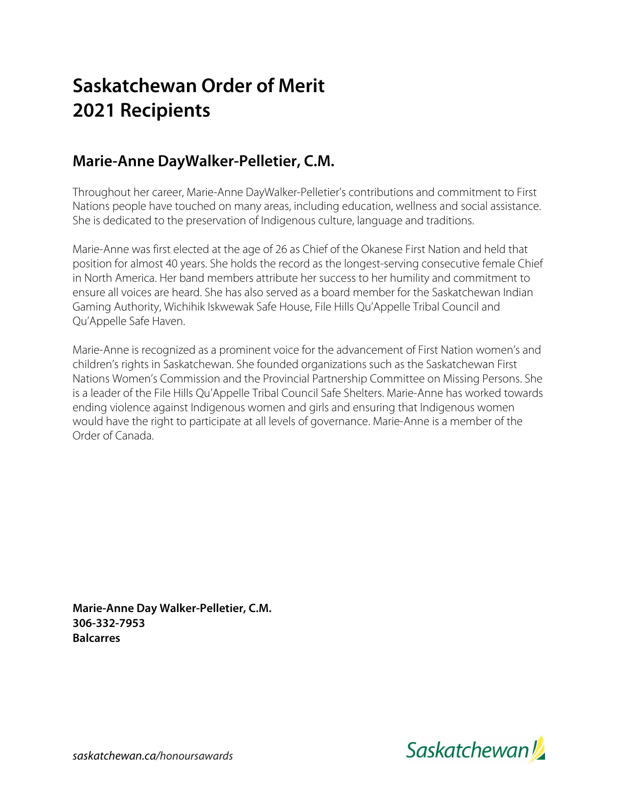#### **Marie-Anne DayWalker-Pelletier, C.M.**

Throughout her career, Marie-Anne DayWalker-Pelletier's contributions and commitment to First Nations people have touched on many areas, including education, wellness and social assistance. She is dedicated to the preservation of Indigenous culture, language and traditions.

Marie-Anne was first elected at the age of 26 as Chief of the Okanese First Nation and held that position for almost 40 years. She holds the record as the longest-serving consecutive female Chief in North America. Her band members attribute her success to her humility and commitment to ensure all voices are heard. She has also served as a board member for the Saskatchewan Indian Gaming Authority, Wichihik Iskwewak Safe House, File Hills Qu'Appelle Tribal Council and Qu'Appelle Safe Haven.

Marie-Anne is recognized as a prominent voice for the advancement of First Nation women's and children's rights in Saskatchewan. She founded organizations such as the Saskatchewan First Nations Women's Commission and the Provincial Partnership Committee on Missing Persons. She is a leader of the File Hills Qu'Appelle Tribal Council Safe Shelters. Marie-Anne has worked towards ending violence against Indigenous women and girls and ensuring that Indigenous women would have the right to participate at all levels of governance. Marie-Anne is a member of the Order of Canada.

**Marie-Anne Day Walker-Pelletier, C.M. 306-332-7953 Balcarres**

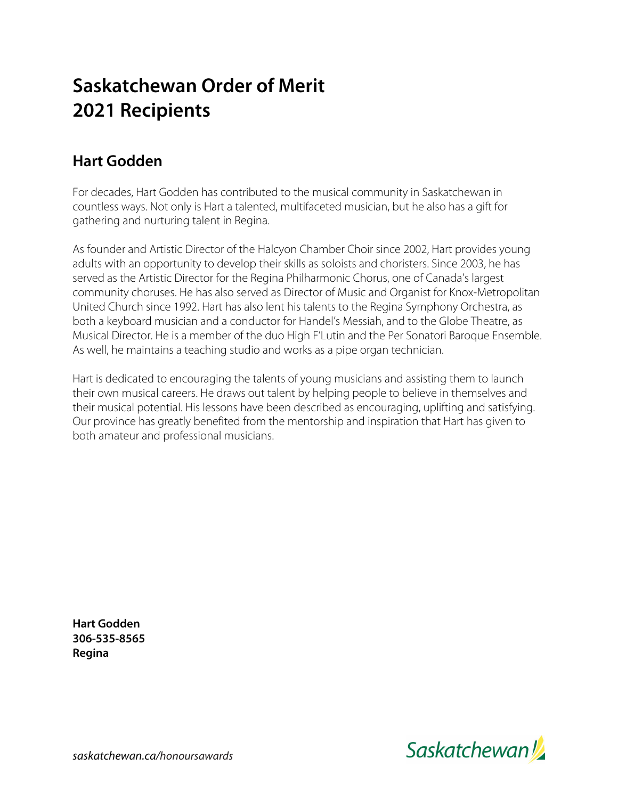#### **Hart Godden**

For decades, Hart Godden has contributed to the musical community in Saskatchewan in countless ways. Not only is Hart a talented, multifaceted musician, but he also has a gift for gathering and nurturing talent in Regina.

As founder and Artistic Director of the Halcyon Chamber Choir since 2002, Hart provides young adults with an opportunity to develop their skills as soloists and choristers. Since 2003, he has served as the Artistic Director for the Regina Philharmonic Chorus, one of Canada's largest community choruses. He has also served as Director of Music and Organist for Knox-Metropolitan United Church since 1992. Hart has also lent his talents to the Regina Symphony Orchestra, as both a keyboard musician and a conductor for Handel's Messiah, and to the Globe Theatre, as Musical Director. He is a member of the duo High F'Lutin and the Per Sonatori Baroque Ensemble. As well, he maintains a teaching studio and works as a pipe organ technician.

Hart is dedicated to encouraging the talents of young musicians and assisting them to launch their own musical careers. He draws out talent by helping people to believe in themselves and their musical potential. His lessons have been described as encouraging, uplifting and satisfying. Our province has greatly benefited from the mentorship and inspiration that Hart has given to both amateur and professional musicians.

**Hart Godden 306-535-8565 Regina**